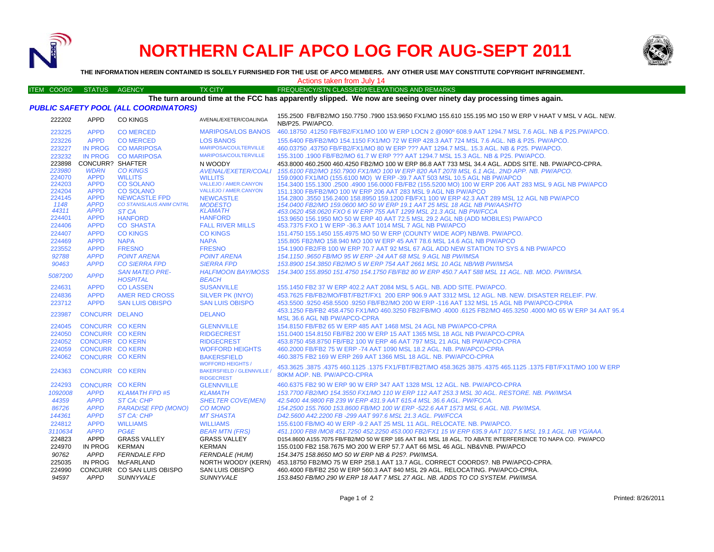

# **NORTHERN CALIF APCO LOG FOR AUG-SEPT 2011**



**THE INFORMATION HEREIN CONTAINED IS SOLELY FURNISHED FOR THE USE OF APCO MEMBERS. ANY OTHER USE MAY CONSTITUTE COPYRIGHT INFRINGEMENT.**

#### ITEM COORD STATUS AGENCY TX CITY FREQUENCY/STN CLASS/ERP/ELEVATIONS AND REMARKS Actions taken from July 14

### **The turn around time at the FCC has apparently slipped. We now are seeing over ninety day processing times again.**

|  |  | PUBLIC SAFETY POOL (ALL COORDINATORS) |  |
|--|--|---------------------------------------|--|
|  |  |                                       |  |

| 222202        | <b>APPD</b>                | CO KINGS                                 | AVENAL/EXETER/COALINGA                                        | 155.2500 FB/FB2/MO 150.7750 .7900 153.9650 FX1/MO 155.610 155.195 MO 150 W ERP V HAAT V MSL V AGL. NEW.<br>NB/P25. PW/APCO.                 |
|---------------|----------------------------|------------------------------------------|---------------------------------------------------------------|---------------------------------------------------------------------------------------------------------------------------------------------|
| 223225        | <b>APPD</b>                | <b>CO MERCED</b>                         | <b>MARIPOSA/LOS BANOS</b>                                     | 460.18750 .41250 FB/FB2/FX1/MO 100 W ERP LOCN 2 @090º 608.9 AAT 1294.7 MSL 7.6 AGL. NB & P25.PW/APCO.                                       |
| 223226        | <b>APPD</b>                | <b>CO MERCED</b>                         | <b>LOS BANOS</b>                                              | 155,6400 FB/FB2/MO 154,1150 FX1/MO 72 W ERP 428.3 AAT 724 MSL 7.6 AGL, NB & P25, PW/APCO,                                                   |
| 223227        |                            | IN PROG CO MARIPOSA                      | MARIPOSA/COULTERVILLE                                         | 460.03750 .43750 FB/FB2/FX1/MO 80 W ERP ??? AAT 1294.7 MSL. 15.3 AGL. NB & P25. PW/APCO.                                                    |
| 223232        |                            | IN PROG CO MARIPOSA                      | <b>MARIPOSA/COULTERVILLE</b>                                  | 155.3100 .1900 FB/FB2/MO 61.7 W ERP ??? AAT 1294.7 MSL 15.3 AGL. NB & P25. PW/APCO.                                                         |
| 223898        | <b>CONCURR? SHAFTER</b>    |                                          | N WOODY                                                       | 453.8000 460.2500 460.4250 FB2/MO 100 W ERP 86.8 AAT 733 MSL 34.4 AGL. ADDS SITE. NB. PW/APCO-CPRA.                                         |
| 223980        | <b>WDRN</b>                | <b>CO KINGS</b>                          | AVENAL/EXETER/COALI                                           | 155.6100 FB2/MO 150.7900 FX1/MO 100 W ERP 820 AAT 2078 MSL 6.1 AGL. 2ND APP. NB. PW/APCO.                                                   |
| 224070        | <b>APPD</b>                | <b>WILLITS</b>                           | <b>WILLITS</b>                                                | 159.0900 FX1/MO (155.6100 MO) W ERP -39.7 AAT 503 MSL 10.5 AGL NB PW/APCO                                                                   |
| 224203        | <b>APPD</b>                | <b>CO SOLANO</b>                         | VALLEJO / AMER.CANYON                                         | 154.3400 155.1300 .2500 .4900 156.0000 FB/FB2 (155.5200 MO) 100 W ERP 206 AAT 283 MSL 9 AGL NB PW/APCO                                      |
| 224204        | <b>APPD</b>                | <b>CO SOLANO</b>                         | <b>VALLEJO / AMER.CANYON</b>                                  | 151.1300 FB/FB2/MO 100 W ERP 206 AAT 283 MSL 9 AGL NB PW/APCO                                                                               |
| 224145        | <b>APPD</b>                | <b>NEWCASTLE FPD</b>                     | <b>NEWCASTLE</b>                                              | 154,2800 .3550 156,2400 158,8950 159,1200 FB/FX1 100 W ERP 42.3 AAT 289 MSL 12 AGL NB PW/APCO                                               |
| 1148<br>44311 | <b>APPD</b><br><b>APPD</b> | <b>CO STANISLAUS ANIM CNTRL</b><br>ST CA | <b>MODESTO</b><br><b>KLAMATH</b>                              | 154.0400 FB2/MO 159.0600 MO 50 W ERP 19.1 AAT 25 MSL 18 AGL NB PW/AASHTO                                                                    |
| 224401        | <b>APPD</b>                | <b>HANFORD</b>                           | <b>HANFORD</b>                                                | 453.0620 458.0620 FXO 6 W ERP 755 AAT 1299 MSL 21.3 AGL NB PW/FCCA                                                                          |
| 224406        | <b>APPD</b>                | <b>CO SHASTA</b>                         | <b>FALL RIVER MILLS</b>                                       | 153.9650 156.1950 MO 50 W ERP 40 AAT 72.5 MSL 29.2 AGL NB (ADD MOBILES) PW/APCO<br>453.7375 FXO 1 W ERP -36.3 AAT 1014 MSL 7 AGL NB PW/APCO |
| 224407        | <b>APPD</b>                | <b>CO KINGS</b>                          | <b>CO KINGS</b>                                               | 151.4750 155.1450 155.4975 MO 50 W ERP (COUNTY WIDE AOP) NB/WB. PW/APCO.                                                                    |
| 224469        | <b>APPD</b>                | <b>NAPA</b>                              | <b>NAPA</b>                                                   | 155,805 FB2/MO 158,940 MO 100 W ERP 45 AAT 78.6 MSL 14.6 AGL NB PW/APCO                                                                     |
| 223552        | <b>APPD</b>                | <b>FRESNO</b>                            | <b>FRESNO</b>                                                 | 154.1900 FB2/FB 100 W ERP 70.7 AAT 92 MSL 67 AGL ADD NEW STATION TO SYS & NB PW/APCO                                                        |
| 92788         | <b>APPD</b>                | <b>POINT ARENA</b>                       | <b>POINT ARENA</b>                                            | 154.1150.9650 FB/MO 95 W ERP -24 AAT 68 MSL 9 AGL NB PW/IMSA                                                                                |
| 90463         | <b>APPD</b>                | <b>CO SIERRA FPD</b>                     | <b>SIERRA FPD</b>                                             | 153.8900 154.3850 FB2/MO 5 W ERP 754 AAT 2661 MSL 10 AGL NB/WB PW/IMSA                                                                      |
|               |                            |                                          |                                                               |                                                                                                                                             |
| 5087200       | <b>APPD</b>                | <b>SAN MATEO PRE-</b><br><b>HOSPITAL</b> | <b>HALFMOON BAY/MOSS</b>                                      | 154.3400 155.8950 151.4750 154.1750 FB/FB2 80 W ERP 450.7 AAT 588 MSL 11 AGL. NB. MOD. PW/IMSA.                                             |
|               |                            |                                          | <b>BEACH</b>                                                  |                                                                                                                                             |
| 224631        | <b>APPD</b>                | <b>CO LASSEN</b>                         | <b>SUSANVILLE</b>                                             | 155.1450 FB2 37 W ERP 402.2 AAT 2084 MSL 5 AGL. NB. ADD SITE. PW/APCO.                                                                      |
| 224836        | <b>APPD</b>                | AMER RED CROSS                           | SILVER PK (INYO)                                              | 453.7625 FB/FB2/MO/FBT/FB2T/FX1 200 ERP 906.9 AAT 3312 MSL 12 AGL. NB. NEW. DISASTER RELEIF. PW.                                            |
| 223712        | <b>APPD</b>                | <b>SAN LUIS OBISPO</b>                   | <b>SAN LUIS OBISPO</b>                                        | 453,5500 .9250 458,5500 .9250 FB/FB2/MO 200 W ERP -116 AAT 132 MSL 15 AGL NB PW/APCO-CPRA                                                   |
| 223987        | CONCURR DELANO             |                                          | <b>DELANO</b>                                                 | 453.1250 FB/FB2 458.4750 FX1/MO 460.3250 FB2/FB/MO .4000 .6125 FB2/MO 465.3250 .4000 MO 65 W ERP 34 AAT 95.4                                |
|               |                            |                                          |                                                               | MSL 36.6 AGL NB PW/APCO-CPRA                                                                                                                |
| 224045        | <b>CONCURR CO KERN</b>     |                                          | <b>GLENNVILLE</b>                                             | 154,8150 FB/FB2 65 W ERP 485 AAT 1468 MSL 24 AGL NB PW/APCO-CPRA                                                                            |
| 224050        | <b>CONCURR CO KERN</b>     |                                          | <b>RIDGECREST</b>                                             | 151,0400 154,8150 FB/FB2 200 W ERP 15 AAT 1365 MSL 18 AGL NB PW/APCO-CPRA                                                                   |
| 224052        | <b>CONCURR CO KERN</b>     |                                          | <b>RIDGECREST</b>                                             | 453.8750 458.8750 FB/FB2 100 W ERP 46 AAT 797 MSL 21 AGL NB PW/APCO-CPRA                                                                    |
| 224059        | <b>CONCURR CO KERN</b>     |                                          | <b>WOFFORD HEIGHTS</b>                                        | 460,2000 FB/FB2 75 W ERP -74 AAT 1090 MSL 18.2 AGL, NB, PW/APCO-CPRA                                                                        |
| 224062        | <b>CONCURR CO KERN</b>     |                                          | <b>BAKERSFIELD</b>                                            | 460.3875 FB2 169 W ERP 269 AAT 1366 MSL 18 AGL, NB, PW/APCO-CPRA                                                                            |
|               |                            |                                          | <b>WOFFORD HEIGHTS /</b><br><b>BAKERSFIELD / GLENNVILLE /</b> | 453.3625 .3875 .4375 465.1125 .1375 FB3.3625 .4375 465.1125 .1375 465.3625 .4375 465.1125 .4375 .4375 .4375 .4                              |
| 224363        | <b>CONCURR CO KERN</b>     |                                          | <b>RIDGECREST</b>                                             | 80KM AOP. NB. PW/APCO-CPRA                                                                                                                  |
| 224293        | <b>CONCURR CO KERN</b>     |                                          | <b>GLENNVILLE</b>                                             | 460.6375 FB2 90 W ERP 90 W ERP 347 AAT 1328 MSL 12 AGL, NB, PW/APCO-CPRA                                                                    |
| 1092008       | <b>APPD</b>                | <b>KLAMATH FPD #5</b>                    | <b>KLAMATH</b>                                                | 153.7700 FB2/MO 154.3550 FX1/MO 110 W ERP 112 AAT 253.3 MSL 30 AGL. RESTORE. NB. PW/IMSA                                                    |
| 44359         | <b>APPD</b>                | ST CA: CHP                               | <b>SHELTER COVE(MEN)</b>                                      | 42.5400 44.9800 FB 239 W ERP 431.9 AAT 615.4 MSL 36.6 AGL, PW/FCCA.                                                                         |
| 86726         | <b>APPD</b>                | <b>PARADISE FPD (MONO)</b>               | <b>CO MONO</b>                                                | 154,2500 155,7600 153,8600 FB/MO 100 W ERP -522.6 AAT 1573 MSL 6 AGL, NB, PW/IMSA,                                                          |
| 144361        | <b>APPD</b>                | <b>ST CA: CHP</b>                        | <b>MT SHASTA</b>                                              | D42.5600 A42.2200 FB -299 AAT 997.6 MSL 21.3 AGL. PW/FCCA                                                                                   |
| 224812        | <b>APPD</b>                | <b>WILLIAMS</b>                          | <b>WILLIAMS</b>                                               | 155,6100 FB/MO 40 W ERP -9.2 AAT 25 MSL 11 AGL, RELOCATE, NB, PW/APCO,                                                                      |
| 3110634       | <b>APPD</b>                | <b>PG&amp;E</b>                          | <b>BEAR MTN (FRS)</b>                                         | 451.1000 FB8 /MO8 451.7250 452.2250 453.000 FB2/FX1 15 W ERP 635.9 AAT 1027.5 MSL 19.1 AGL. NB YG/AAA.                                      |
| 224823        | APPD                       | <b>GRASS VALLEY</b>                      | <b>GRASS VALLEY</b>                                           | D154,8600 A155,7075 FB/FB2/MO 50 W ERP 165 AAT 841 MSL 18 AGL. TO ABATE INTERFERENCE TO NAPA CO. PW/APCO                                    |
| 224970        | IN PROG                    | <b>KERMAN</b>                            | <b>KERMAN</b>                                                 | 155.0100 FB2 158.7675 MO 200 W ERP 57.7 AAT 66 MSL 46 AGL. NB&VNB. PW/APCO                                                                  |
| 90762         | <b>APPD</b>                | <b>FERNDALE FPD</b>                      | <b>FERNDALE (HUM)</b>                                         | 154.3475 158.8650 MO 50 W ERP NB & P25?. PW/IMSA.                                                                                           |
| 225035        |                            | IN PROG McFARLAND                        | NORTH WOODY (KERN)                                            | 453.18750 FB2/MO 75 W ERP 258.1 AAT 13.7 AGL. CORRECT COORDS?. NB PW/APCO-CPRA.                                                             |
| 224990        |                            | CONCURR CO SAN LUIS OBISPO               | SAN LUIS OBISPO                                               | 460.4000 FB/FB2 250 W ERP 560.3 AAT 840 MSL 29 AGL. RELOCATING. PW/APCO-CPRA.                                                               |
| 94597         | APPD                       | <b>SUNNYVALE</b>                         | <b>SUNNYVALE</b>                                              | 153.8450 FB/MO 290 W ERP 18 AAT 7 MSL 27 AGL. NB. ADDS TO CO SYSTEM. PW/IMSA.                                                               |
|               |                            |                                          |                                                               |                                                                                                                                             |